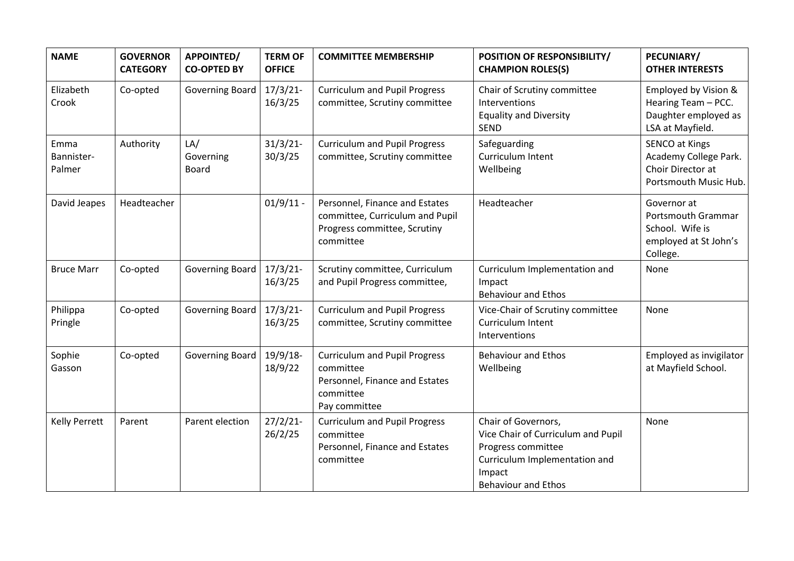| <b>NAME</b>                  | <b>GOVERNOR</b><br><b>CATEGORY</b> | <b>APPOINTED/</b><br><b>CO-OPTED BY</b> | <b>TERM OF</b><br><b>OFFICE</b> | <b>COMMITTEE MEMBERSHIP</b>                                                                                       | <b>POSITION OF RESPONSIBILITY/</b><br><b>CHAMPION ROLES(S)</b>                                                                                           | PECUNIARY/<br><b>OTHER INTERESTS</b>                                                             |
|------------------------------|------------------------------------|-----------------------------------------|---------------------------------|-------------------------------------------------------------------------------------------------------------------|----------------------------------------------------------------------------------------------------------------------------------------------------------|--------------------------------------------------------------------------------------------------|
| Elizabeth<br>Crook           | Co-opted                           | Governing Board                         | $17/3/21$ -<br>16/3/25          | <b>Curriculum and Pupil Progress</b><br>committee, Scrutiny committee                                             | Chair of Scrutiny committee<br><b>Interventions</b><br><b>Equality and Diversity</b><br><b>SEND</b>                                                      | Employed by Vision &<br>Hearing Team - PCC.<br>Daughter employed as<br>LSA at Mayfield.          |
| Emma<br>Bannister-<br>Palmer | Authority                          | LA/<br>Governing<br><b>Board</b>        | $31/3/21$ -<br>30/3/25          | <b>Curriculum and Pupil Progress</b><br>committee, Scrutiny committee                                             | Safeguarding<br><b>Curriculum Intent</b><br>Wellbeing                                                                                                    | <b>SENCO at Kings</b><br>Academy College Park.<br>Choir Director at<br>Portsmouth Music Hub.     |
| David Jeapes                 | Headteacher                        |                                         | $01/9/11 -$                     | Personnel, Finance and Estates<br>committee, Curriculum and Pupil<br>Progress committee, Scrutiny<br>committee    | Headteacher                                                                                                                                              | Governor at<br><b>Portsmouth Grammar</b><br>School. Wife is<br>employed at St John's<br>College. |
| <b>Bruce Marr</b>            | Co-opted                           | Governing Board                         | $17/3/21$ -<br>16/3/25          | Scrutiny committee, Curriculum<br>and Pupil Progress committee,                                                   | Curriculum Implementation and<br>Impact<br><b>Behaviour and Ethos</b>                                                                                    | None                                                                                             |
| Philippa<br>Pringle          | Co-opted                           | Governing Board                         | $17/3/21$ -<br>16/3/25          | <b>Curriculum and Pupil Progress</b><br>committee, Scrutiny committee                                             | Vice-Chair of Scrutiny committee<br>Curriculum Intent<br>Interventions                                                                                   | None                                                                                             |
| Sophie<br>Gasson             | Co-opted                           | Governing Board                         | $19/9/18$ -<br>18/9/22          | <b>Curriculum and Pupil Progress</b><br>committee<br>Personnel, Finance and Estates<br>committee<br>Pay committee | <b>Behaviour and Ethos</b><br>Wellbeing                                                                                                                  | Employed as invigilator<br>at Mayfield School.                                                   |
| Kelly Perrett                | Parent                             | Parent election                         | $27/2/21$ -<br>26/2/25          | <b>Curriculum and Pupil Progress</b><br>committee<br>Personnel, Finance and Estates<br>committee                  | Chair of Governors,<br>Vice Chair of Curriculum and Pupil<br>Progress committee<br>Curriculum Implementation and<br>Impact<br><b>Behaviour and Ethos</b> | None                                                                                             |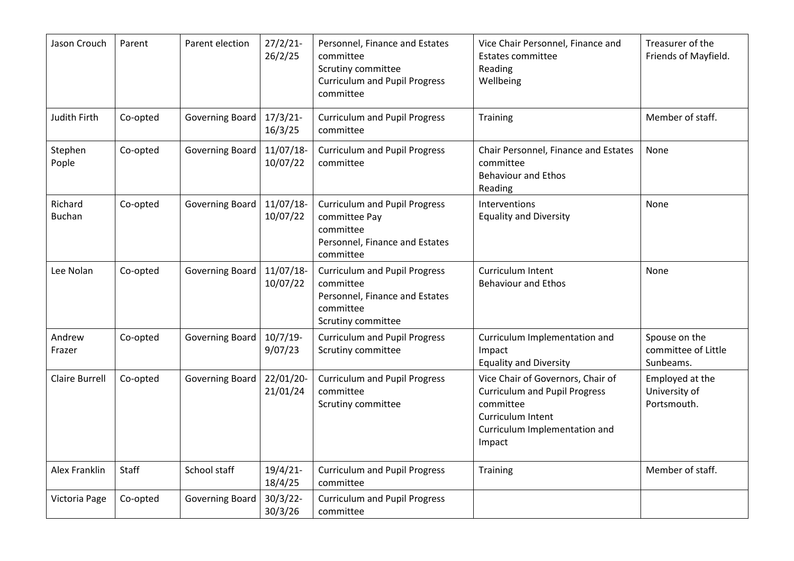| Jason Crouch             | Parent   | Parent election | $27/2/21$ -<br>26/2/25   | Personnel, Finance and Estates<br>committee<br>Scrutiny committee<br><b>Curriculum and Pupil Progress</b><br>committee | Vice Chair Personnel, Finance and<br>Estates committee<br>Reading<br>Wellbeing                                                                         | Treasurer of the<br>Friends of Mayfield.          |
|--------------------------|----------|-----------------|--------------------------|------------------------------------------------------------------------------------------------------------------------|--------------------------------------------------------------------------------------------------------------------------------------------------------|---------------------------------------------------|
| <b>Judith Firth</b>      | Co-opted | Governing Board | $17/3/21$ -<br>16/3/25   | <b>Curriculum and Pupil Progress</b><br>Training<br>committee                                                          |                                                                                                                                                        | Member of staff.                                  |
| Stephen<br>Pople         | Co-opted | Governing Board | $11/07/18$ -<br>10/07/22 | <b>Curriculum and Pupil Progress</b><br>committee                                                                      | Chair Personnel, Finance and Estates<br>committee<br><b>Behaviour and Ethos</b><br>Reading                                                             | <b>None</b>                                       |
| Richard<br><b>Buchan</b> | Co-opted | Governing Board | $11/07/18$ -<br>10/07/22 | <b>Curriculum and Pupil Progress</b><br>committee Pay<br>committee<br>Personnel, Finance and Estates<br>committee      | Interventions<br><b>Equality and Diversity</b>                                                                                                         | None                                              |
| Lee Nolan                | Co-opted | Governing Board | $11/07/18$ -<br>10/07/22 | <b>Curriculum and Pupil Progress</b><br>committee<br>Personnel, Finance and Estates<br>committee<br>Scrutiny committee | Curriculum Intent<br><b>Behaviour and Ethos</b>                                                                                                        | None                                              |
| Andrew<br>Frazer         | Co-opted | Governing Board | $10/7/19$ -<br>9/07/23   | <b>Curriculum and Pupil Progress</b><br>Scrutiny committee                                                             | Curriculum Implementation and<br>Impact<br><b>Equality and Diversity</b>                                                                               | Spouse on the<br>committee of Little<br>Sunbeams. |
| <b>Claire Burrell</b>    | Co-opted | Governing Board | 22/01/20-<br>21/01/24    | <b>Curriculum and Pupil Progress</b><br>committee<br>Scrutiny committee                                                | Vice Chair of Governors, Chair of<br><b>Curriculum and Pupil Progress</b><br>committee<br>Curriculum Intent<br>Curriculum Implementation and<br>Impact | Employed at the<br>University of<br>Portsmouth.   |
| Alex Franklin            | Staff    | School staff    | $19/4/21$ -<br>18/4/25   | <b>Curriculum and Pupil Progress</b><br>committee                                                                      | <b>Training</b>                                                                                                                                        | Member of staff.                                  |
| Victoria Page            | Co-opted | Governing Board | $30/3/22$ -<br>30/3/26   | <b>Curriculum and Pupil Progress</b><br>committee                                                                      |                                                                                                                                                        |                                                   |